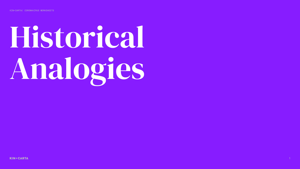# Historical Analogies



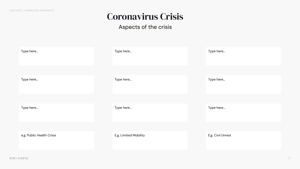#### ù

## Coronavirus Crisis

#### Aspects of the crisis

| Type here<br>Type here<br>Type here<br>Type here |  |  |
|--------------------------------------------------|--|--|
|                                                  |  |  |
|                                                  |  |  |
|                                                  |  |  |
|                                                  |  |  |
| Type here<br>Type here                           |  |  |
|                                                  |  |  |

e.g. Civil Unrest Crisis E.g. Civil Unrest

| Type here                 | Type here             | Type here     |
|---------------------------|-----------------------|---------------|
|                           |                       |               |
| Type here                 | Type here             | Type here     |
|                           |                       |               |
| Type here                 | Type here             | Type here     |
|                           |                       |               |
| e.g. Public Health Crisis | E.g. Limited Mobility | E.g. Civil Un |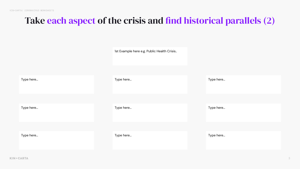ú

## Take each aspect of the crisis and find historical parallels (2)

|           | 1st Example here e.g. Public Health Crisis |           |
|-----------|--------------------------------------------|-----------|
| Type here | Type here                                  | Type here |
| Type here | Type here                                  | Type here |
|           |                                            |           |
| Type here | Type here                                  | Type here |

**KIN+CARTA**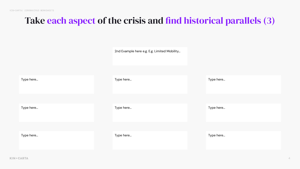## Take each aspect of the crisis and find historical parallels (3)

|           | 2nd Example here e.g. E.g. Limited Mobility |           |
|-----------|---------------------------------------------|-----------|
| Type here | Type here                                   | Type here |
| Type here | Type here                                   | Type here |
| Type here | Type here                                   | Type here |

KIN+CARTA

 $\overline{4}$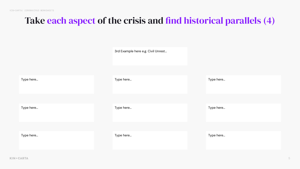## Take each aspect of the crisis and find historical parallels (4)

|           | 3rd Example her |
|-----------|-----------------|
|           |                 |
| Type here | Type here       |
|           |                 |
| Type here | Type here       |
|           |                 |
| Type here | Type here       |
|           |                 |

KIN+CARTA

re e.g. Civil Unrest...

Type here...

Type here...

Type here...

5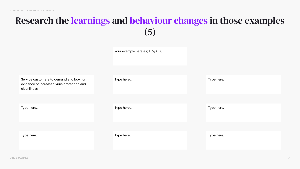## Research the learnings and behaviour changes in those examples (5)



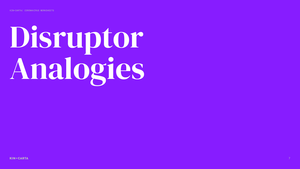# Disruptor Analogies

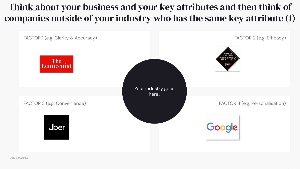#### Think about your business and your key attributes and then think of companies outside of your industry who has the same key attribute (1)

FACTOR 1 (e.g. Clarity & Accuracy)



FACTOR 3 (e.g. Convenience)



**KIN+CARTA** 

FACTOR 2 (e.g. Efficacy)



Your industry goes here.

#### FACTOR 4 (e.g. Personalisation)



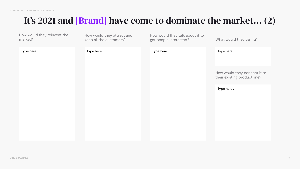Ā

#### It's 2021 and [Brand] have come to dominate the market… (2)

Type here...

How would they reinvent the market?

How would they attract and keep all the customers?

Type here... Type here...

How would they talk about it to get people interested?

| Type here |
|-----------|
|           |

What would they call it?

Type here...

How would they connect it to their existing product line?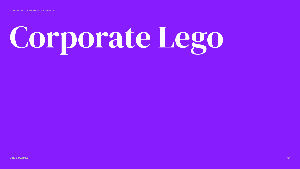KIN+CARTA/ CORONAVIRUS WORKSHEETS

# Corporate Lego

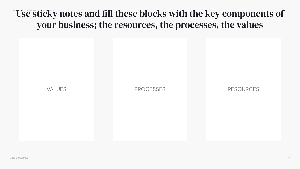#### WSE Sticky notes and fill these blocks with the key components of your business; the resources, the processes, the values

**KIN+CARTA** 

VALUES PROCESSES RESOURCES

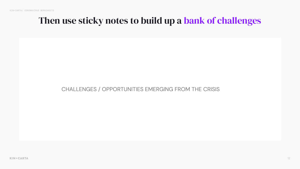øù

#### Then use sticky notes to build up a bank of challenges

**KIN+CARTA** 

CHALLENGES / OPPORTUNITIES EMERGING FROM THE CRISIS